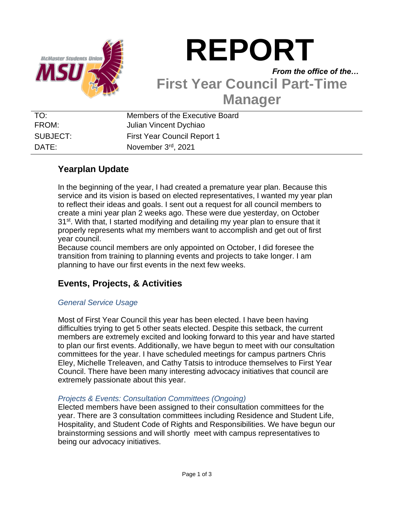

# **REPORT**

## *From the office of the…* **First Year Council Part-Time Manager**

TO: Members of the Executive Board FROM: Julian Vincent Dychiao SUBJECT: First Year Council Report 1 DATE: November 3rd, 2021

## **Yearplan Update**

In the beginning of the year, I had created a premature year plan. Because this service and its vision is based on elected representatives, I wanted my year plan to reflect their ideas and goals. I sent out a request for all council members to create a mini year plan 2 weeks ago. These were due yesterday, on October  $31<sup>st</sup>$ . With that, I started modifying and detailing my year plan to ensure that it properly represents what my members want to accomplish and get out of first year council.

Because council members are only appointed on October, I did foresee the transition from training to planning events and projects to take longer. I am planning to have our first events in the next few weeks.

## **Events, Projects, & Activities**

### *General Service Usage*

Most of First Year Council this year has been elected. I have been having difficulties trying to get 5 other seats elected. Despite this setback, the current members are extremely excited and looking forward to this year and have started to plan our first events. Additionally, we have begun to meet with our consultation committees for the year. I have scheduled meetings for campus partners Chris Eley, Michelle Treleaven, and Cathy Tatsis to introduce themselves to First Year Council. There have been many interesting advocacy initiatives that council are extremely passionate about this year.

#### *Projects & Events: Consultation Committees (Ongoing)*

Elected members have been assigned to their consultation committees for the year. There are 3 consultation committees including Residence and Student Life, Hospitality, and Student Code of Rights and Responsibilities. We have begun our brainstorming sessions and will shortly meet with campus representatives to being our advocacy initiatives.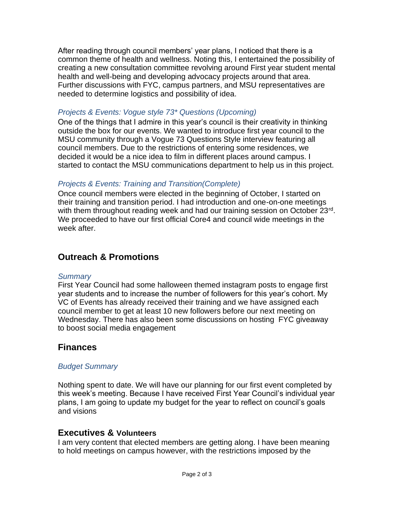After reading through council members' year plans, I noticed that there is a common theme of health and wellness. Noting this, I entertained the possibility of creating a new consultation committee revolving around First year student mental health and well-being and developing advocacy projects around that area. Further discussions with FYC, campus partners, and MSU representatives are needed to determine logistics and possibility of idea.

#### *Projects & Events: Vogue style 73\* Questions (Upcoming)*

One of the things that I admire in this year's council is their creativity in thinking outside the box for our events. We wanted to introduce first year council to the MSU community through a Vogue 73 Questions Style interview featuring all council members. Due to the restrictions of entering some residences, we decided it would be a nice idea to film in different places around campus. I started to contact the MSU communications department to help us in this project.

#### *Projects & Events: Training and Transition(Complete)*

Once council members were elected in the beginning of October, I started on their training and transition period. I had introduction and one-on-one meetings with them throughout reading week and had our training session on October 23rd. We proceeded to have our first official Core4 and council wide meetings in the week after.

## **Outreach & Promotions**

#### *Summary*

First Year Council had some halloween themed instagram posts to engage first year students and to increase the number of followers for this year's cohort. My VC of Events has already received their training and we have assigned each council member to get at least 10 new followers before our next meeting on Wednesday. There has also been some discussions on hosting FYC giveaway to boost social media engagement

## **Finances**

#### *Budget Summary*

Nothing spent to date. We will have our planning for our first event completed by this week's meeting. Because I have received First Year Council's individual year plans, I am going to update my budget for the year to reflect on council's goals and visions

#### **Executives & Volunteers**

I am very content that elected members are getting along. I have been meaning to hold meetings on campus however, with the restrictions imposed by the